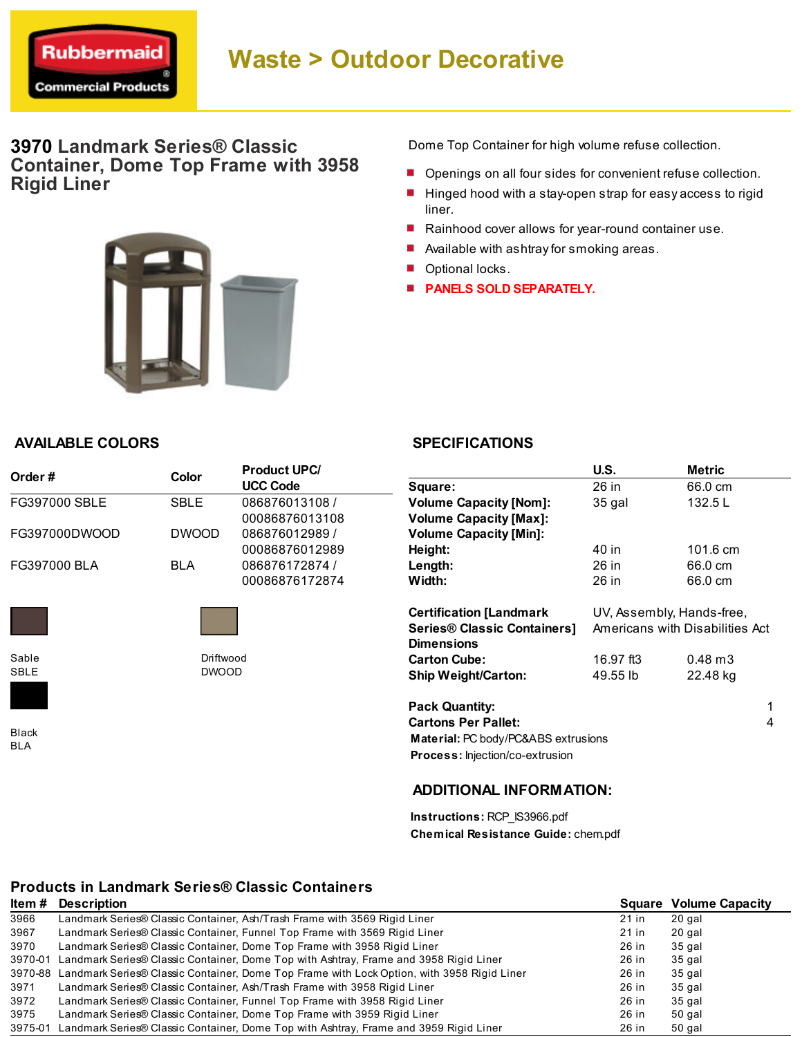

# Waste > Outdoor Decorative

## 3970 Landmark Series® Classic Container, Dome Top Frame with 3958 Rigid Liner



Dome Top Container for high volume refuse collection.

- **Density** Openings on all four sides for convenient refuse collection.
- Hinged hood with a stay-open strap for easy access to rigid liner.
- Rainhood cover allows for year-round container use.
- **Available with ashtray for smoking areas.**
- **Optional locks.**
- **PANELS SOLD SEPARATELY.**

### AVAILABLE COLORS

| Order#        | Color        | <b>Product UPC/</b><br><b>UCC Code</b> |  |
|---------------|--------------|----------------------------------------|--|
| FG397000 SBLE | SBI F        | 086876013108 /                         |  |
|               |              | 00086876013108                         |  |
| FG397000DWOOD | <b>DWOOD</b> | 086876012989 /                         |  |
|               |              | 00086876012989                         |  |
| FG397000 BLA  | BI A         | 086876172874 /                         |  |
|               |              | 00086876172874                         |  |



Sable SBLE

Driftwood DWOOD

Black BLA

## **SPECIFICATIONS**

|                                                | U.S.                            | <b>Metric</b>      |
|------------------------------------------------|---------------------------------|--------------------|
| Square:                                        | 26 in                           | 66.0 cm            |
| <b>Volume Capacity [Nom]:</b>                  | 35 gal                          | 132.5L             |
| <b>Volume Capacity [Max]:</b>                  |                                 |                    |
| <b>Volume Capacity [Min]:</b>                  |                                 |                    |
| Height:                                        | 40 in                           | 101.6 cm           |
| Length:                                        | 26 in                           | 66.0 cm            |
| Width:                                         | 26 in                           | 66.0 cm            |
|                                                |                                 |                    |
| <b>Certification [Landmark</b>                 | UV, Assembly, Hands-free,       |                    |
| <b>Series® Classic Containers]</b>             | Americans with Disabilities Act |                    |
| <b>Dimensions</b>                              |                                 |                    |
| <b>Carton Cube:</b>                            | 16.97 ft3                       | $0.48 \text{ m}$ 3 |
| <b>Ship Weight/Carton:</b>                     | 49.55 lb                        | 22.48 kg           |
|                                                |                                 | 1                  |
| <b>Pack Quantity:</b>                          |                                 |                    |
| <b>Cartons Per Pallet:</b>                     |                                 | 4                  |
| <b>Material: PC body/PC&amp;ABS extrusions</b> |                                 |                    |
| <b>Process:</b> Injection/co-extrusion         |                                 |                    |
|                                                |                                 |                    |

### ADDITIONAL INFORMATION:

Instructions: RCP\_IS3966.pdf Chemical Resistance Guide: chem.pdf

## Products in Landmark Series® Classic Containers

| Item #  | <b>Description</b>                                                                                 |       | <b>Square Volume Capacity</b> |
|---------|----------------------------------------------------------------------------------------------------|-------|-------------------------------|
| 3966    | Landmark Series® Classic Container, Ash/Trash Frame with 3569 Rigid Liner                          | 21 in | 20 gal                        |
| 3967    | Landmark Series® Classic Container, Funnel Top Frame with 3569 Rigid Liner                         | 21 in | 20 gal                        |
| 3970    | Landmark Series® Classic Container, Dome Top Frame with 3958 Rigid Liner                           | 26 in | 35 gal                        |
| 3970-01 | Landmark Series® Classic Container, Dome Top with Ashtray, Frame and 3958 Rigid Liner              | 26 in | 35 gal                        |
|         | 3970-88 Landmark Series® Classic Container, Dome Top Frame with Lock Option, with 3958 Rigid Liner | 26 in | 35 gal                        |
| 3971    | Landmark Series® Classic Container, Ash/Trash Frame with 3958 Rigid Liner                          | 26 in | 35 gal                        |
| 3972    | Landmark Series® Classic Container, Funnel Top Frame with 3958 Rigid Liner                         | 26 in | 35 gal                        |
| 3975    | Landmark Series® Classic Container, Dome Top Frame with 3959 Rigid Liner                           | 26 in | 50 gal                        |
| 3975-01 | Landmark Series® Classic Container, Dome Top with Ashtray, Frame and 3959 Rigid Liner              | 26 in | 50 gal                        |